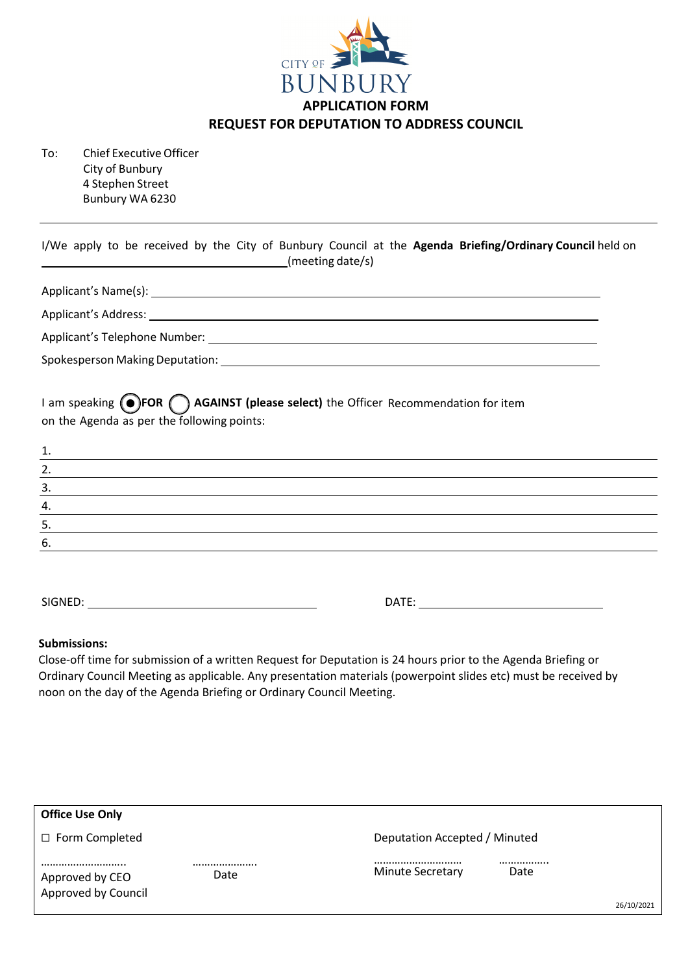

To: Chief Executive Officer City of Bunbury 4 Stephen Street Bunbury WA 6230

| I/We apply to be received by the City of Bunbury Council at the Agenda Briefing/Ordinary Council held on<br>(meeting date/s)<br><u> Alexandria de la conte</u> |
|----------------------------------------------------------------------------------------------------------------------------------------------------------------|
| Applicant's Name(s): 1999.                                                                                                                                     |
|                                                                                                                                                                |
|                                                                                                                                                                |
|                                                                                                                                                                |
| I am speaking (O)FOR ( ) AGAINST (please select) the Officer Recommendation for item<br>on the Agenda as per the following points:                             |
| 2.<br><u> 1989 - Johann Stoff, deutscher Stoff, der Stoff, der Stoff, der Stoff, der Stoff, der Stoff, der Stoff, der S</u>                                    |
| $\frac{3}{2}$<br>and the control of the control of the control of the control of the control of the control of the control of the                              |
| 4.                                                                                                                                                             |
| 5.                                                                                                                                                             |
| 6.                                                                                                                                                             |
|                                                                                                                                                                |

SIGNED: DATE:

## **Submissions:**

Close-off time for submission of a written Request for Deputation is 24 hours prior to the Agenda Briefing or Ordinary Council Meeting as applicable. Any presentation materials (powerpoint slides etc) must be received by noon on the day of the Agenda Briefing or Ordinary Council Meeting.

| Deputation Accepted / Minuted |
|-------------------------------|
| <br>26/10/2021                |
| Date                          |